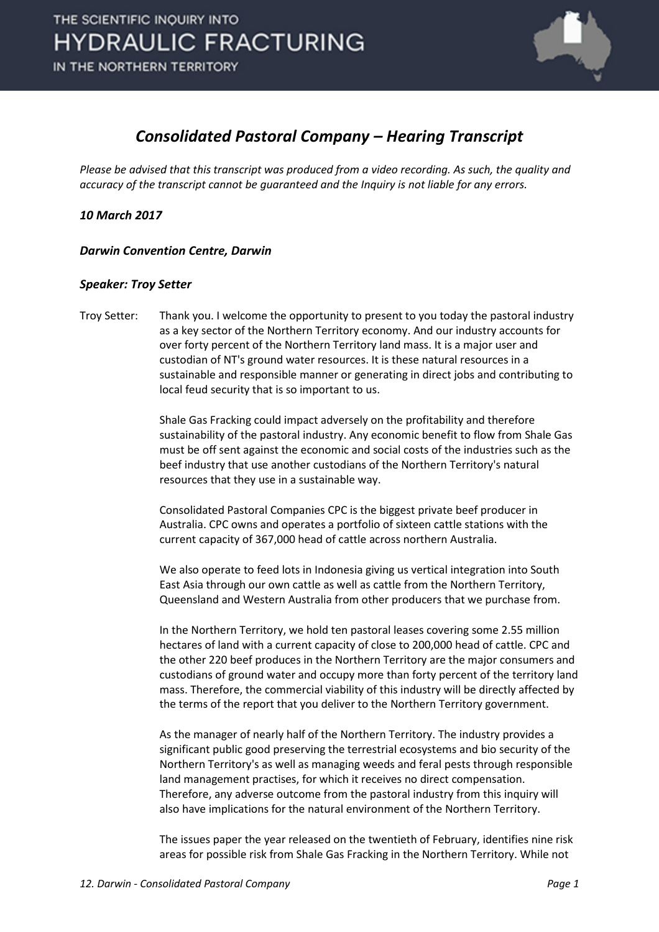

# *Consolidated Pastoral Company – Hearing Transcript*

*Please be advised that this transcript was produced from a video recording. As such, the quality and accuracy of the transcript cannot be guaranteed and the Inquiry is not liable for any errors.*

*10 March 2017* 

*Darwin Convention Centre, Darwin* 

# *Speaker: Troy Setter*

Troy Setter: Thank you. I welcome the opportunity to present to you today the pastoral industry as a key sector of the Northern Territory economy. And our industry accounts for over forty percent of the Northern Territory land mass. It is a major user and custodian of NT's ground water resources. It is these natural resources in a sustainable and responsible manner or generating in direct jobs and contributing to local feud security that is so important to us.

> Shale Gas Fracking could impact adversely on the profitability and therefore sustainability of the pastoral industry. Any economic benefit to flow from Shale Gas must be off sent against the economic and social costs of the industries such as the beef industry that use another custodians of the Northern Territory's natural resources that they use in a sustainable way.

Consolidated Pastoral Companies CPC is the biggest private beef producer in Australia. CPC owns and operates a portfolio of sixteen cattle stations with the current capacity of 367,000 head of cattle across northern Australia.

We also operate to feed lots in Indonesia giving us vertical integration into South East Asia through our own cattle as well as cattle from the Northern Territory, Queensland and Western Australia from other producers that we purchase from.

In the Northern Territory, we hold ten pastoral leases covering some 2.55 million hectares of land with a current capacity of close to 200,000 head of cattle. CPC and the other 220 beef produces in the Northern Territory are the major consumers and custodians of ground water and occupy more than forty percent of the territory land mass. Therefore, the commercial viability of this industry will be directly affected by the terms of the report that you deliver to the Northern Territory government.

As the manager of nearly half of the Northern Territory. The industry provides a significant public good preserving the terrestrial ecosystems and bio security of the Northern Territory's as well as managing weeds and feral pests through responsible land management practises, for which it receives no direct compensation. Therefore, any adverse outcome from the pastoral industry from this inquiry will also have implications for the natural environment of the Northern Territory.

The issues paper the year released on the twentieth of February, identifies nine risk areas for possible risk from Shale Gas Fracking in the Northern Territory. While not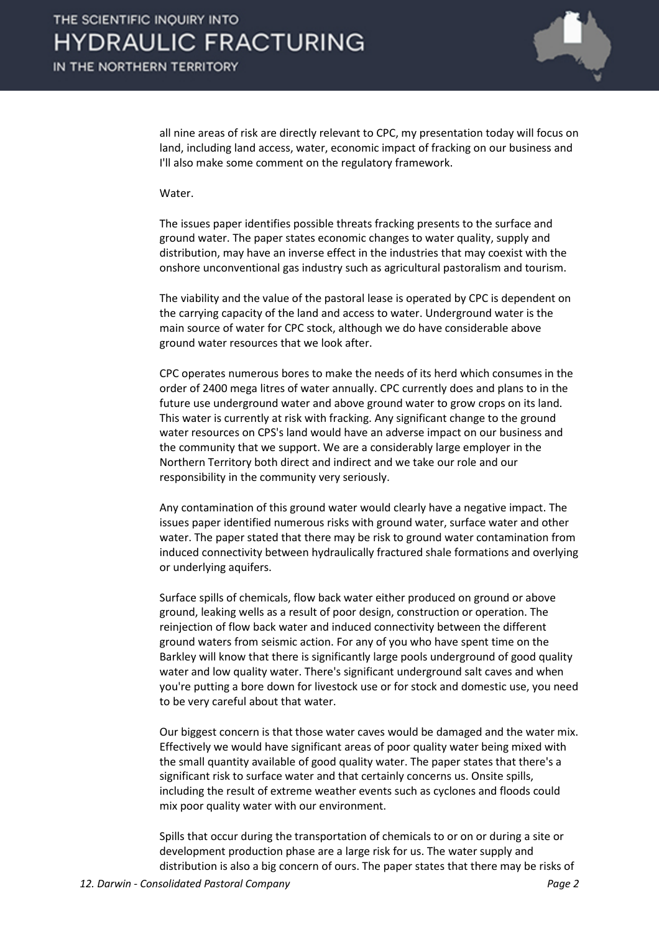

all nine areas of risk are directly relevant to CPC, my presentation today will focus on land, including land access, water, economic impact of fracking on our business and I'll also make some comment on the regulatory framework.

## Water.

The issues paper identifies possible threats fracking presents to the surface and ground water. The paper states economic changes to water quality, supply and distribution, may have an inverse effect in the industries that may coexist with the onshore unconventional gas industry such as agricultural pastoralism and tourism.

The viability and the value of the pastoral lease is operated by CPC is dependent on the carrying capacity of the land and access to water. Underground water is the main source of water for CPC stock, although we do have considerable above ground water resources that we look after.

CPC operates numerous bores to make the needs of its herd which consumes in the order of 2400 mega litres of water annually. CPC currently does and plans to in the future use underground water and above ground water to grow crops on its land. This water is currently at risk with fracking. Any significant change to the ground water resources on CPS's land would have an adverse impact on our business and the community that we support. We are a considerably large employer in the Northern Territory both direct and indirect and we take our role and our responsibility in the community very seriously.

Any contamination of this ground water would clearly have a negative impact. The issues paper identified numerous risks with ground water, surface water and other water. The paper stated that there may be risk to ground water contamination from induced connectivity between hydraulically fractured shale formations and overlying or underlying aquifers.

Surface spills of chemicals, flow back water either produced on ground or above ground, leaking wells as a result of poor design, construction or operation. The reinjection of flow back water and induced connectivity between the different ground waters from seismic action. For any of you who have spent time on the Barkley will know that there is significantly large pools underground of good quality water and low quality water. There's significant underground salt caves and when you're putting a bore down for livestock use or for stock and domestic use, you need to be very careful about that water.

Our biggest concern is that those water caves would be damaged and the water mix. Effectively we would have significant areas of poor quality water being mixed with the small quantity available of good quality water. The paper states that there's a significant risk to surface water and that certainly concerns us. Onsite spills, including the result of extreme weather events such as cyclones and floods could mix poor quality water with our environment.

Spills that occur during the transportation of chemicals to or on or during a site or development production phase are a large risk for us. The water supply and distribution is also a big concern of ours. The paper states that there may be risks of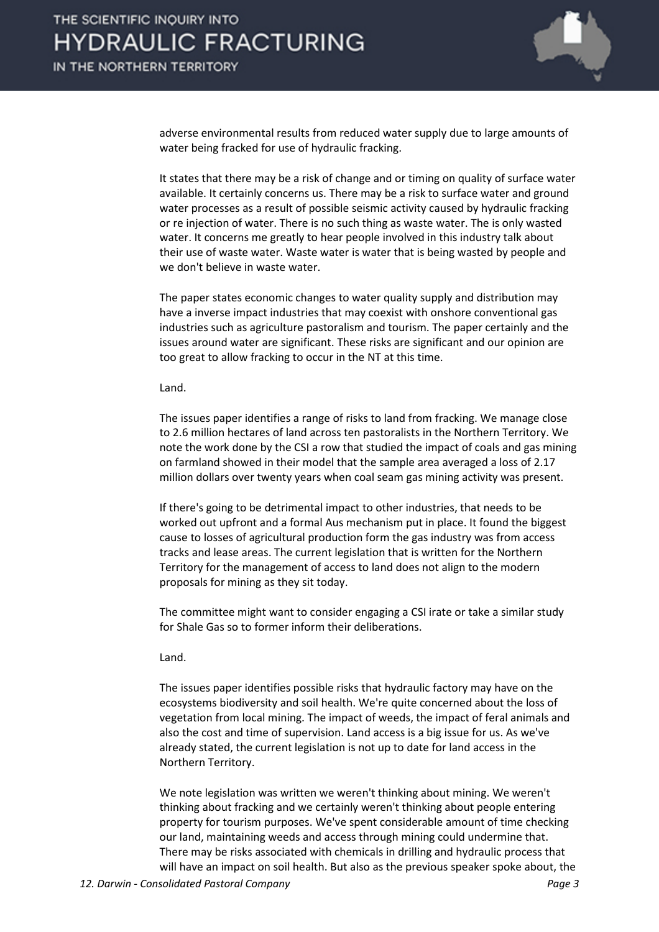

adverse environmental results from reduced water supply due to large amounts of water being fracked for use of hydraulic fracking.

It states that there may be a risk of change and or timing on quality of surface water available. It certainly concerns us. There may be a risk to surface water and ground water processes as a result of possible seismic activity caused by hydraulic fracking or re injection of water. There is no such thing as waste water. The is only wasted water. It concerns me greatly to hear people involved in this industry talk about their use of waste water. Waste water is water that is being wasted by people and we don't believe in waste water.

The paper states economic changes to water quality supply and distribution may have a inverse impact industries that may coexist with onshore conventional gas industries such as agriculture pastoralism and tourism. The paper certainly and the issues around water are significant. These risks are significant and our opinion are too great to allow fracking to occur in the NT at this time.

#### Land.

The issues paper identifies a range of risks to land from fracking. We manage close to 2.6 million hectares of land across ten pastoralists in the Northern Territory. We note the work done by the CSI a row that studied the impact of coals and gas mining on farmland showed in their model that the sample area averaged a loss of 2.17 million dollars over twenty years when coal seam gas mining activity was present.

If there's going to be detrimental impact to other industries, that needs to be worked out upfront and a formal Aus mechanism put in place. It found the biggest cause to losses of agricultural production form the gas industry was from access tracks and lease areas. The current legislation that is written for the Northern Territory for the management of access to land does not align to the modern proposals for mining as they sit today.

The committee might want to consider engaging a CSI irate or take a similar study for Shale Gas so to former inform their deliberations.

### Land.

The issues paper identifies possible risks that hydraulic factory may have on the ecosystems biodiversity and soil health. We're quite concerned about the loss of vegetation from local mining. The impact of weeds, the impact of feral animals and also the cost and time of supervision. Land access is a big issue for us. As we've already stated, the current legislation is not up to date for land access in the Northern Territory.

We note legislation was written we weren't thinking about mining. We weren't thinking about fracking and we certainly weren't thinking about people entering property for tourism purposes. We've spent considerable amount of time checking our land, maintaining weeds and access through mining could undermine that. There may be risks associated with chemicals in drilling and hydraulic process that will have an impact on soil health. But also as the previous speaker spoke about, the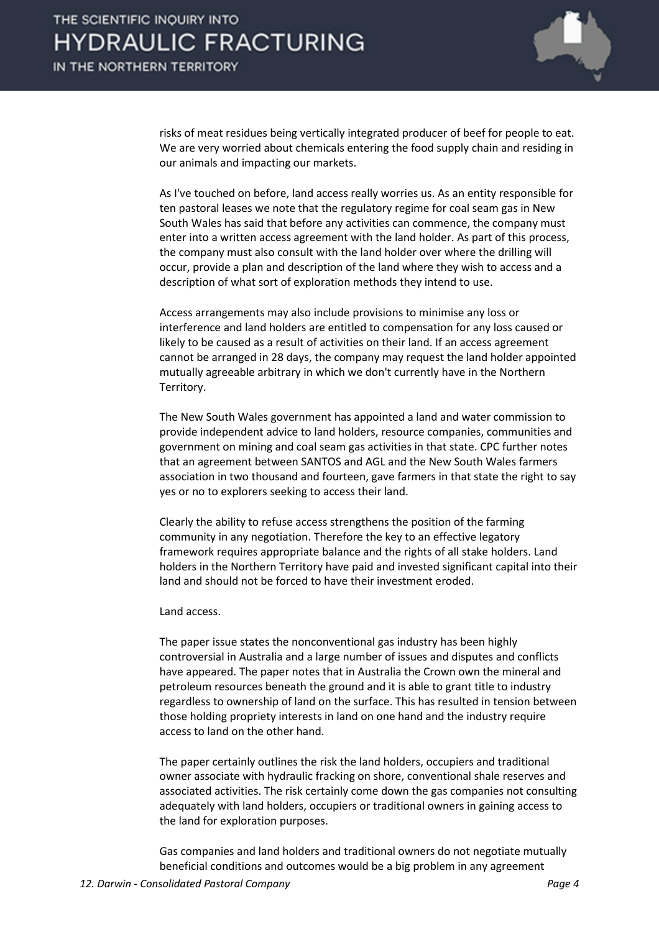

risks of meat residues being vertically integrated producer of beef for people to eat. We are very worried about chemicals entering the food supply chain and residing in our animals and impacting our markets.

As I've touched on before, land access really worries us. As an entity responsible for ten pastoral leases we note that the regulatory regime for coal seam gas in New South Wales has said that before any activities can commence, the company must enter into a written access agreement with the land holder. As part of this process, the company must also consult with the land holder over where the drilling will occur, provide a plan and description of the land where they wish to access and a description of what sort of exploration methods they intend to use.

Access arrangements may also include provisions to minimise any loss or interference and land holders are entitled to compensation for any loss caused or likely to be caused as a result of activities on their land. If an access agreement cannot be arranged in 28 days, the company may request the land holder appointed mutually agreeable arbitrary in which we don't currently have in the Northern Territory.

The New South Wales government has appointed a land and water commission to provide independent advice to land holders, resource companies, communities and government on mining and coal seam gas activities in that state. CPC further notes that an agreement between SANTOS and AGL and the New South Wales farmers association in two thousand and fourteen, gave farmers in that state the right to say yes or no to explorers seeking to access their land.

Clearly the ability to refuse access strengthens the position of the farming community in any negotiation. Therefore the key to an effective legatory framework requires appropriate balance and the rights of all stake holders. Land holders in the Northern Territory have paid and invested significant capital into their land and should not be forced to have their investment eroded.

Land access.

The paper issue states the nonconventional gas industry has been highly controversial in Australia and a large number of issues and disputes and conflicts have appeared. The paper notes that in Australia the Crown own the mineral and petroleum resources beneath the ground and it is able to grant title to industry regardless to ownership of land on the surface. This has resulted in tension between those holding propriety interests in land on one hand and the industry require access to land on the other hand.

The paper certainly outlines the risk the land holders, occupiers and traditional owner associate with hydraulic fracking on shore, conventional shale reserves and associated activities. The risk certainly come down the gas companies not consulting adequately with land holders, occupiers or traditional owners in gaining access to the land for exploration purposes.

Gas companies and land holders and traditional owners do not negotiate mutually beneficial conditions and outcomes would be a big problem in any agreement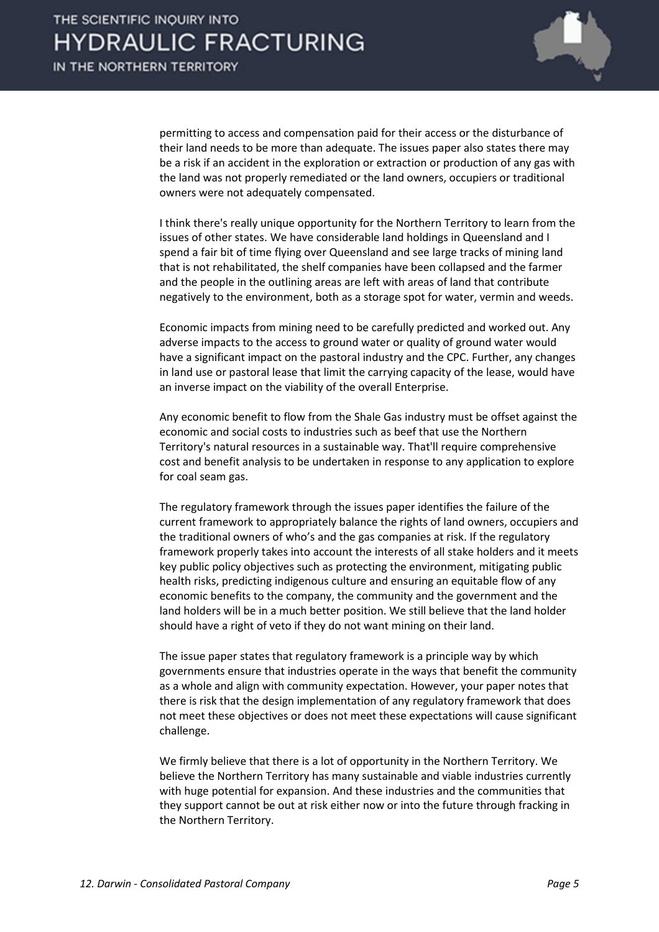

permitting to access and compensation paid for their access or the disturbance of their land needs to be more than adequate. The issues paper also states there may be a risk if an accident in the exploration or extraction or production of any gas with the land was not properly remediated or the land owners, occupiers or traditional owners were not adequately compensated.

I think there's really unique opportunity for the Northern Territory to learn from the issues of other states. We have considerable land holdings in Queensland and I spend a fair bit of time flying over Queensland and see large tracks of mining land that is not rehabilitated, the shelf companies have been collapsed and the farmer and the people in the outlining areas are left with areas of land that contribute negatively to the environment, both as a storage spot for water, vermin and weeds.

Economic impacts from mining need to be carefully predicted and worked out. Any adverse impacts to the access to ground water or quality of ground water would have a significant impact on the pastoral industry and the CPC. Further, any changes in land use or pastoral lease that limit the carrying capacity of the lease, would have an inverse impact on the viability of the overall Enterprise.

Any economic benefit to flow from the Shale Gas industry must be offset against the economic and social costs to industries such as beef that use the Northern Territory's natural resources in a sustainable way. That'll require comprehensive cost and benefit analysis to be undertaken in response to any application to explore for coal seam gas.

The regulatory framework through the issues paper identifies the failure of the current framework to appropriately balance the rights of land owners, occupiers and the traditional owners of who's and the gas companies at risk. If the regulatory framework properly takes into account the interests of all stake holders and it meets key public policy objectives such as protecting the environment, mitigating public health risks, predicting indigenous culture and ensuring an equitable flow of any economic benefits to the company, the community and the government and the land holders will be in a much better position. We still believe that the land holder should have a right of veto if they do not want mining on their land.

The issue paper states that regulatory framework is a principle way by which governments ensure that industries operate in the ways that benefit the community as a whole and align with community expectation. However, your paper notes that there is risk that the design implementation of any regulatory framework that does not meet these objectives or does not meet these expectations will cause significant challenge.

We firmly believe that there is a lot of opportunity in the Northern Territory. We believe the Northern Territory has many sustainable and viable industries currently with huge potential for expansion. And these industries and the communities that they support cannot be out at risk either now or into the future through fracking in the Northern Territory.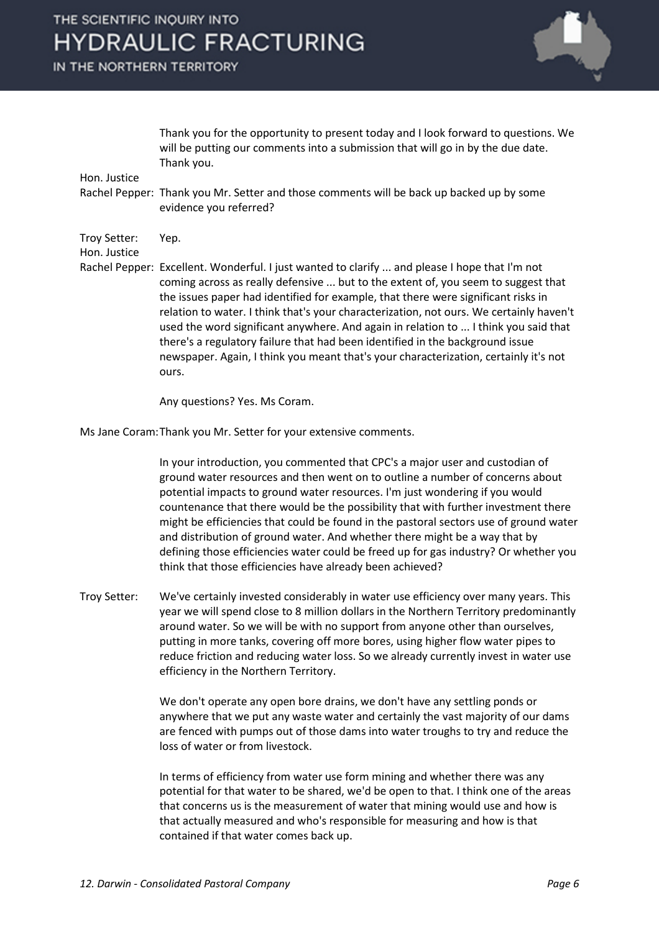# THE SCIENTIFIC INQUIRY INTO **HYDRAULIC FRACTURING**

IN THE NORTHERN TERRITORY



Thank you for the opportunity to present today and I look forward to questions. We will be putting our comments into a submission that will go in by the due date. Thank you.

Hon. Justice

Rachel Pepper: Thank you Mr. Setter and those comments will be back up backed up by some evidence you referred?

Troy Setter: Yep.

Hon. Justice

Rachel Pepper: Excellent. Wonderful. I just wanted to clarify ... and please I hope that I'm not coming across as really defensive ... but to the extent of, you seem to suggest that the issues paper had identified for example, that there were significant risks in relation to water. I think that's your characterization, not ours. We certainly haven't used the word significant anywhere. And again in relation to ... I think you said that there's a regulatory failure that had been identified in the background issue newspaper. Again, I think you meant that's your characterization, certainly it's not ours.

Any questions? Yes. Ms Coram.

Ms Jane Coram:Thank you Mr. Setter for your extensive comments.

In your introduction, you commented that CPC's a major user and custodian of ground water resources and then went on to outline a number of concerns about potential impacts to ground water resources. I'm just wondering if you would countenance that there would be the possibility that with further investment there might be efficiencies that could be found in the pastoral sectors use of ground water and distribution of ground water. And whether there might be a way that by defining those efficiencies water could be freed up for gas industry? Or whether you think that those efficiencies have already been achieved?

Troy Setter: We've certainly invested considerably in water use efficiency over many years. This year we will spend close to 8 million dollars in the Northern Territory predominantly around water. So we will be with no support from anyone other than ourselves, putting in more tanks, covering off more bores, using higher flow water pipes to reduce friction and reducing water loss. So we already currently invest in water use efficiency in the Northern Territory.

> We don't operate any open bore drains, we don't have any settling ponds or anywhere that we put any waste water and certainly the vast majority of our dams are fenced with pumps out of those dams into water troughs to try and reduce the loss of water or from livestock.

> In terms of efficiency from water use form mining and whether there was any potential for that water to be shared, we'd be open to that. I think one of the areas that concerns us is the measurement of water that mining would use and how is that actually measured and who's responsible for measuring and how is that contained if that water comes back up.